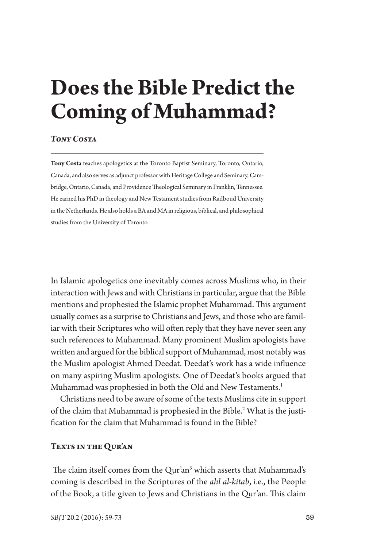# **Does the Bible Predict the Coming of Muhammad?**

#### *Tony Costa*

**Tony Costa** teaches apologetics at the Toronto Baptist Seminary, Toronto, Ontario, Canada, and also serves as adjunct professor with Heritage College and Seminary, Cambridge, Ontario, Canada, and Providence Theological Seminary in Franklin, Tennessee. He earned his PhD in theology and New Testament studies from Radboud University in the Netherlands. He also holds a BA and MA in religious, biblical, and philosophical studies from the University of Toronto.

In Islamic apologetics one inevitably comes across Muslims who, in their interaction with Jews and with Christians in particular, argue that the Bible mentions and prophesied the Islamic prophet Muhammad. This argument usually comes as a surprise to Christians and Jews, and those who are familiar with their Scriptures who will often reply that they have never seen any such references to Muhammad. Many prominent Muslim apologists have writen and argued for the biblical support of Muhammad, most notably was the Muslim apologist Ahmed Deedat. Deedat's work has a wide infuence on many aspiring Muslim apologists. One of Deedat's books argued that Muhammad was prophesied in both the Old and New Testaments.<sup>1</sup>

Christians need to be aware of some of the texts Muslims cite in support of the claim that Muhammad is prophesied in the Bible.<sup>2</sup> What is the justifcation for the claim that Muhammad is found in the Bible?

## **Texts in the Qur'an**

The claim itself comes from the Qur'an<sup>3</sup> which asserts that Muhammad's coming is described in the Scriptures of the *ahl al-kitab*, i.e., the People of the Book, a title given to Jews and Christians in the Qur'an. This claim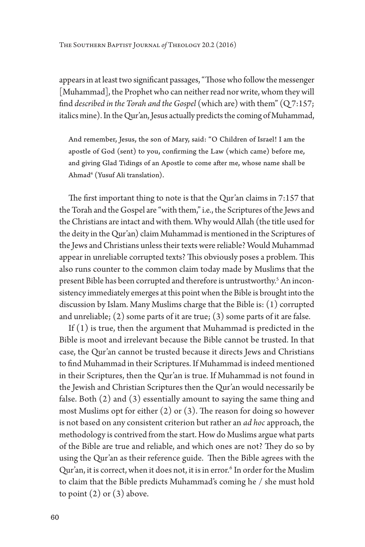The Southern Baptist Journal *of* Theology 20.2 (2016)

appears in at least two significant passages, "Those who follow the messenger [Muhammad], the Prophet who can neither read nor write, whom they will fnd *described in the Torah and the Gospel* (which are) with them" (Q 7:157; italics mine). In the Qur'an, Jesus actually predicts the coming of Muhammad,

And remember, Jesus, the son of Mary, said: "O Children of Israel! I am the apostle of God (sent) to you, confrming the Law (which came) before me, and giving Glad Tidings of an Apostle to come afer me, whose name shall be Ahmad4 (Yusuf Ali translation).

The first important thing to note is that the Qur'an claims in 7:157 that the Torah and the Gospel are "with them," i.e., the Scriptures of the Jews and the Christians are intact and with them. Why would Allah (the title used for the deity in the Qur'an) claim Muhammad is mentioned in the Scriptures of the Jews and Christians unless their texts were reliable? Would Muhammad appear in unreliable corrupted texts? This obviously poses a problem. This also runs counter to the common claim today made by Muslims that the present Bible has been corrupted and therefore is untrustworthy.<sup>5</sup> An inconsistency immediately emerges at this point when the Bible is brought into the discussion by Islam. Many Muslims charge that the Bible is: (1) corrupted and unreliable; (2) some parts of it are true; (3) some parts of it are false.

If (1) is true, then the argument that Muhammad is predicted in the Bible is moot and irrelevant because the Bible cannot be trusted. In that case, the Qur'an cannot be trusted because it directs Jews and Christians to fnd Muhammad in their Scriptures. If Muhammad is indeed mentioned in their Scriptures, then the Qur'an is true. If Muhammad is not found in the Jewish and Christian Scriptures then the Qur'an would necessarily be false. Both (2) and (3) essentially amount to saying the same thing and most Muslims opt for either  $(2)$  or  $(3)$ . The reason for doing so however is not based on any consistent criterion but rather an *ad hoc* approach, the methodology is contrived from the start. How do Muslims argue what parts of the Bible are true and reliable, and which ones are not? They do so by using the Qur'an as their reference guide. Then the Bible agrees with the Qur'an, it is correct, when it does not, it is in error.<sup>6</sup> In order for the Muslim to claim that the Bible predicts Muhammad's coming he / she must hold to point  $(2)$  or  $(3)$  above.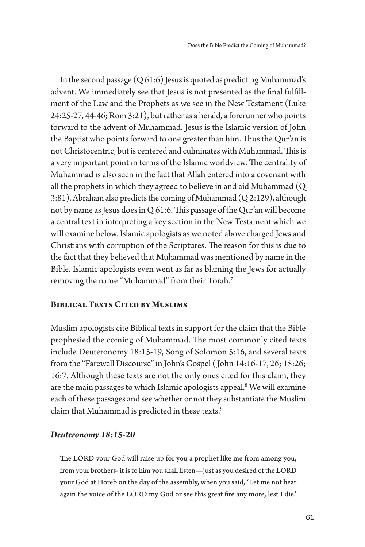In the second passage  $(Q61:6)$  Jesus is quoted as predicting Muhammad's advent. We immediately see that Jesus is not presented as the fnal fulfllment of the Law and the Prophets as we see in the New Testament (Luke 24:25-27, 44-46; Rom 3:21), but rather as a herald, a forerunner who points forward to the advent of Muhammad. Jesus is the Islamic version of John the Baptist who points forward to one greater than him. Thus the Qur'an is not Christocentric, but is centered and culminates with Muhammad. This is a very important point in terms of the Islamic worldview. The centrality of Muhammad is also seen in the fact that Allah entered into a covenant with all the prophets in which they agreed to believe in and aid Muhammad (Q 3:81). Abraham also predicts the coming of Muhammad (Q 2:129), although not by name as Jesus does in  $Q$  61:6. This passage of the Qur'an will become a central text in interpreting a key section in the New Testament which we will examine below. Islamic apologists as we noted above charged Jews and Christians with corruption of the Scriptures. The reason for this is due to the fact that they believed that Muhammad was mentioned by name in the Bible. Islamic apologists even went as far as blaming the Jews for actually removing the name "Muhammad" from their Torah.7

### **Biblical Texts Cited by Muslims**

Muslim apologists cite Biblical texts in support for the claim that the Bible prophesied the coming of Muhammad. The most commonly cited texts include Deuteronomy 18:15-19, Song of Solomon 5:16, and several texts from the "Farewell Discourse" in John's Gospel ( John 14:16-17, 26; 15:26; 16:7. Although these texts are not the only ones cited for this claim, they are the main passages to which Islamic apologists appeal.<sup>8</sup> We will examine each of these passages and see whether or not they substantiate the Muslim claim that Muhammad is predicted in these texts.<sup>9</sup>

#### *Deuteronomy 18:15-20*

The LORD your God will raise up for you a prophet like me from among you, from your brothers- it is to him you shall listen—just as you desired of the LORD your God at Horeb on the day of the assembly, when you said, 'Let me not hear again the voice of the LORD my God or see this great fre any more, lest I die.'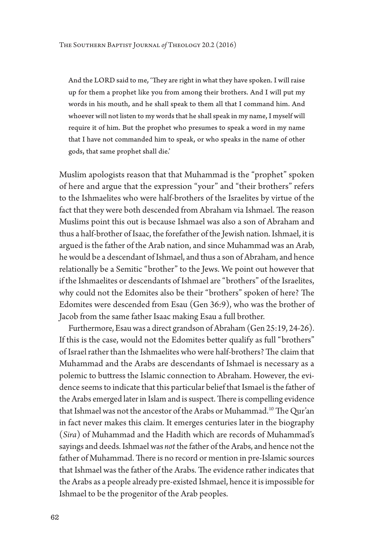And the LORD said to me, 'They are right in what they have spoken. I will raise up for them a prophet like you from among their brothers. And I will put my words in his mouth, and he shall speak to them all that I command him. And whoever will not listen to my words that he shall speak in my name, I myself will require it of him. But the prophet who presumes to speak a word in my name that I have not commanded him to speak, or who speaks in the name of other gods, that same prophet shall die.'

Muslim apologists reason that that Muhammad is the "prophet" spoken of here and argue that the expression "your" and "their brothers" refers to the Ishmaelites who were half-brothers of the Israelites by virtue of the fact that they were both descended from Abraham via Ishmael. The reason Muslims point this out is because Ishmael was also a son of Abraham and thus a half-brother of Isaac, the forefather of the Jewish nation. Ishmael, it is argued is the father of the Arab nation, and since Muhammad was an Arab, he would be a descendant of Ishmael, and thus a son of Abraham, and hence relationally be a Semitic "brother" to the Jews. We point out however that if the Ishmaelites or descendants of Ishmael are "brothers" of the Israelites, why could not the Edomites also be their "brothers" spoken of here? The Edomites were descended from Esau (Gen 36:9), who was the brother of Jacob from the same father Isaac making Esau a full brother.

Furthermore, Esau was a direct grandson of Abraham (Gen 25:19, 24-26). If this is the case, would not the Edomites beter qualify as full "brothers" of Israel rather than the Ishmaelites who were half-brothers? The claim that Muhammad and the Arabs are descendants of Ishmael is necessary as a polemic to butress the Islamic connection to Abraham. However, the evidence seems to indicate that this particular belief that Ismael is the father of the Arabs emerged later in Islam and is suspect. There is compelling evidence that Ishmael was not the ancestor of the Arabs or Muhammad.<sup>10</sup> The Qur'an in fact never makes this claim. It emerges centuries later in the biography (*Sira*) of Muhammad and the Hadith which are records of Muhammad's sayings and deeds. Ishmael was *not* the father of the Arabs, and hence not the father of Muhammad. There is no record or mention in pre-Islamic sources that Ishmael was the father of the Arabs. The evidence rather indicates that the Arabs as a people already pre-existed Ishmael, hence it is impossible for Ishmael to be the progenitor of the Arab peoples.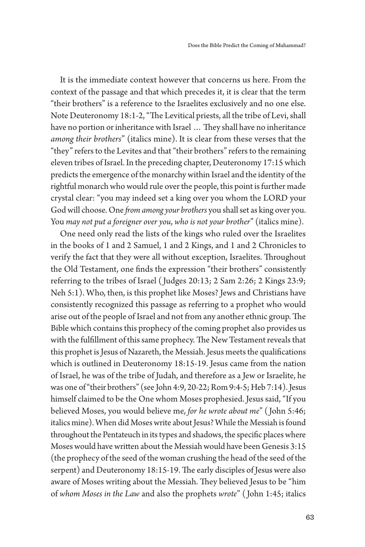It is the immediate context however that concerns us here. From the context of the passage and that which precedes it, it is clear that the term "their brothers" is a reference to the Israelites exclusively and no one else. Note Deuteronomy 18:1-2, "The Levitical priests, all the tribe of Levi, shall have no portion or inheritance with Israel ... They shall have no inheritance *among their brothers*" (italics mine). It is clear from these verses that the "they" refers to the Levites and that "their brothers" refers to the remaining eleven tribes of Israel. In the preceding chapter, Deuteronomy 17:15 which predicts the emergence of the monarchy within Israel and the identity of the rightful monarch who would rule over the people, this point is further made crystal clear: "you may indeed set a king over you whom the LORD your God will choose. One *fom among your brothers* you shall set as king over you. You *may not put a foreigner over you*, *who is not your brother*" (italics mine).

One need only read the lists of the kings who ruled over the Israelites in the books of 1 and 2 Samuel, 1 and 2 Kings, and 1 and 2 Chronicles to verify the fact that they were all without exception, Israelites. Throughout the Old Testament, one fnds the expression "their brothers" consistently referring to the tribes of Israel ( Judges 20:13; 2 Sam 2:26; 2 Kings 23:9; Neh 5:1). Who, then, is this prophet like Moses? Jews and Christians have consistently recognized this passage as referring to a prophet who would arise out of the people of Israel and not from any another ethnic group. The Bible which contains this prophecy of the coming prophet also provides us with the fulfillment of this same prophecy. The New Testament reveals that this prophet is Jesus of Nazareth, the Messiah. Jesus meets the qualifcations which is outlined in Deuteronomy 18:15-19. Jesus came from the nation of Israel, he was of the tribe of Judah, and therefore as a Jew or Israelite, he was one of "their brothers" (see John 4:9, 20-22; Rom 9:4-5; Heb 7:14). Jesus himself claimed to be the One whom Moses prophesied. Jesus said, "If you believed Moses, you would believe me, *for he wrote about me*" ( John 5:46; italics mine). When did Moses write about Jesus? While the Messiah is found throughout the Pentateuch in its types and shadows, the specifc places where Moses would have writen about the Messiah would have been Genesis 3:15 (the prophecy of the seed of the woman crushing the head of the seed of the serpent) and Deuteronomy 18:15-19. The early disciples of Jesus were also aware of Moses writing about the Messiah. They believed Jesus to be "him of *whom Moses in the Law* and also the prophets *wrote*" ( John 1:45; italics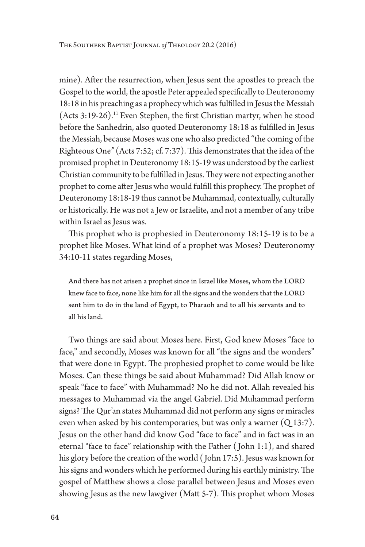mine). Afer the resurrection, when Jesus sent the apostles to preach the Gospel to the world, the apostle Peter appealed specifcally to Deuteronomy 18:18 in his preaching as a prophecy which was fulflled in Jesus the Messiah  $(Acts 3:19-26).$ <sup>11</sup> Even Stephen, the first Christian martyr, when he stood before the Sanhedrin, also quoted Deuteronomy 18:18 as fulflled in Jesus the Messiah, because Moses was one who also predicted "the coming of the Righteous One" (Acts 7:52; cf. 7:37). This demonstrates that the idea of the promised prophet in Deuteronomy 18:15-19 was understood by the earliest Christian community to be fulfilled in Jesus. They were not expecting another prophet to come after Jesus who would fulfill this prophecy. The prophet of Deuteronomy 18:18-19 thus cannot be Muhammad, contextually, culturally or historically. He was not a Jew or Israelite, and not a member of any tribe within Israel as Jesus was.

This prophet who is prophesied in Deuteronomy 18:15-19 is to be a prophet like Moses. What kind of a prophet was Moses? Deuteronomy 34:10-11 states regarding Moses,

And there has not arisen a prophet since in Israel like Moses, whom the LORD knew face to face, none like him for all the signs and the wonders that the LORD sent him to do in the land of Egypt, to Pharaoh and to all his servants and to all his land.

Two things are said about Moses here. First, God knew Moses "face to face," and secondly, Moses was known for all "the signs and the wonders" that were done in Egypt. The prophesied prophet to come would be like Moses. Can these things be said about Muhammad? Did Allah know or speak "face to face" with Muhammad? No he did not. Allah revealed his messages to Muhammad via the angel Gabriel. Did Muhammad perform signs? The Qur'an states Muhammad did not perform any signs or miracles even when asked by his contemporaries, but was only a warner  $(Q_1 3:7)$ . Jesus on the other hand did know God "face to face" and in fact was in an eternal "face to face" relationship with the Father ( John 1:1), and shared his glory before the creation of the world ( John 17:5). Jesus was known for his signs and wonders which he performed during his earthly ministry. The gospel of Mathew shows a close parallel between Jesus and Moses even showing Jesus as the new lawgiver (Matt 5-7). This prophet whom Moses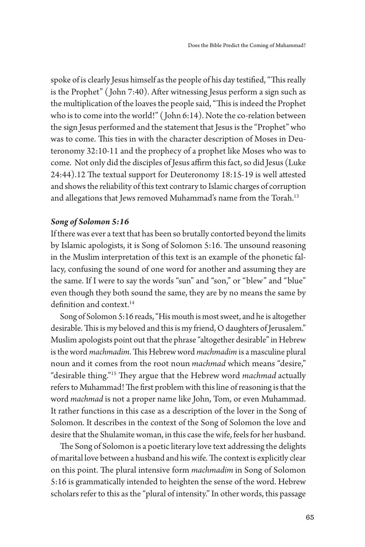spoke of is clearly Jesus himself as the people of his day testified, "This really is the Prophet" ( John 7:40). Afer witnessing Jesus perform a sign such as the multiplication of the loaves the people said, "This is indeed the Prophet who is to come into the world!" ( John 6:14). Note the co-relation between the sign Jesus performed and the statement that Jesus is the "Prophet" who was to come. This ties in with the character description of Moses in Deuteronomy 32:10-11 and the prophecy of a prophet like Moses who was to come. Not only did the disciples of Jesus affirm this fact, so did Jesus (Luke 24:44).12 The textual support for Deuteronomy 18:15-19 is well attested and shows the reliability of this text contrary to Islamic charges of corruption and allegations that Jews removed Muhammad's name from the Torah.<sup>13</sup>

#### *Song of Solomon 5:16*

If there was ever a text that has been so brutally contorted beyond the limits by Islamic apologists, it is Song of Solomon 5:16. The unsound reasoning in the Muslim interpretation of this text is an example of the phonetic fallacy, confusing the sound of one word for another and assuming they are the same. If I were to say the words "sun" and "son," or "blew" and "blue" even though they both sound the same, they are by no means the same by definition and context.<sup>14</sup>

Song of Solomon 5:16 reads, "His mouth is most sweet, and he is altogether desirable. This is my beloved and this is my friend, O daughters of Jerusalem." Muslim apologists point out that the phrase "altogether desirable" in Hebrew is the word *machmadim*. This Hebrew word *machmadim* is a masculine plural noun and it comes from the root noun *machmad* which means "desire," "desirable thing."<sup>15</sup> They argue that the Hebrew word *machmad* actually refers to Muhammad! The first problem with this line of reasoning is that the word *machmad* is not a proper name like John, Tom, or even Muhammad. It rather functions in this case as a description of the lover in the Song of Solomon. It describes in the context of the Song of Solomon the love and desire that the Shulamite woman, in this case the wife, feels for her husband.

The Song of Solomon is a poetic literary love text addressing the delights of marital love between a husband and his wife. The context is explicitly clear on this point. The plural intensive form *machmadim* in Song of Solomon 5:16 is grammatically intended to heighten the sense of the word. Hebrew scholars refer to this as the "plural of intensity." In other words, this passage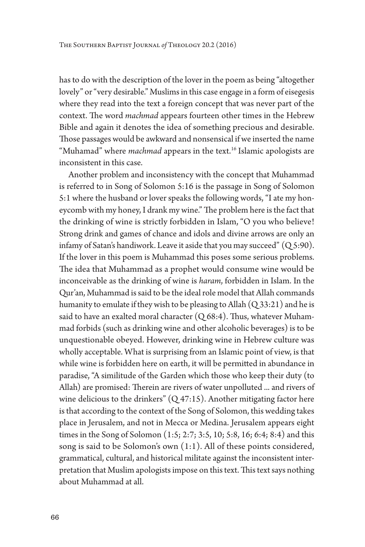has to do with the description of the lover in the poem as being "altogether lovely" or "very desirable." Muslims in this case engage in a form of eisegesis where they read into the text a foreign concept that was never part of the context. The word *machmad* appears fourteen other times in the Hebrew Bible and again it denotes the idea of something precious and desirable. Those passages would be awkward and nonsensical if we inserted the name "Muhamad" where *machmad* appears in the text.<sup>16</sup> Islamic apologists are inconsistent in this case.

Another problem and inconsistency with the concept that Muhammad is referred to in Song of Solomon 5:16 is the passage in Song of Solomon 5:1 where the husband or lover speaks the following words, "I ate my honeycomb with my honey, I drank my wine." The problem here is the fact that the drinking of wine is strictly forbidden in Islam, "O you who believe! Strong drink and games of chance and idols and divine arrows are only an infamy of Satan's handiwork. Leave it aside that you may succeed"  $(Q_5:90)$ . If the lover in this poem is Muhammad this poses some serious problems. The idea that Muhammad as a prophet would consume wine would be inconceivable as the drinking of wine is *haram*, forbidden in Islam. In the Qur'an, Muhammad is said to be the ideal role model that Allah commands humanity to emulate if they wish to be pleasing to Allah  $(Q33:21)$  and he is said to have an exalted moral character  $(Q 68:4)$ . Thus, whatever Muhammad forbids (such as drinking wine and other alcoholic beverages) is to be unquestionable obeyed. However, drinking wine in Hebrew culture was wholly acceptable. What is surprising from an Islamic point of view, is that while wine is forbidden here on earth, it will be permited in abundance in paradise, "A similitude of the Garden which those who keep their duty (to Allah) are promised: Therein are rivers of water unpolluted ... and rivers of wine delicious to the drinkers" (Q 47:15). Another mitigating factor here is that according to the context of the Song of Solomon, this wedding takes place in Jerusalem, and not in Mecca or Medina. Jerusalem appears eight times in the Song of Solomon (1:5; 2:7; 3:5, 10; 5:8, 16; 6:4; 8:4) and this song is said to be Solomon's own (1:1). All of these points considered, grammatical, cultural, and historical militate against the inconsistent interpretation that Muslim apologists impose on this text. This text says nothing about Muhammad at all.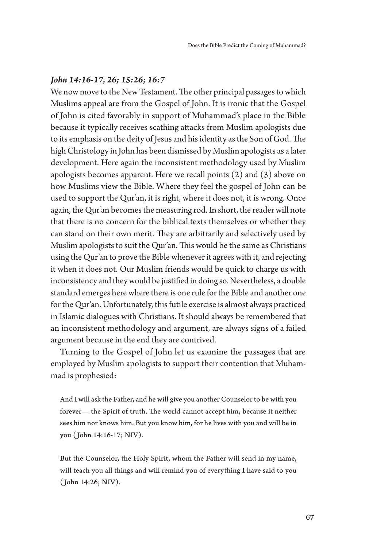## *John 14:16-17, 26; 15:26; 16:7*

We now move to the New Testament. The other principal passages to which Muslims appeal are from the Gospel of John. It is ironic that the Gospel of John is cited favorably in support of Muhammad's place in the Bible because it typically receives scathing atacks from Muslim apologists due to its emphasis on the deity of Jesus and his identity as the Son of God. The high Christology in John has been dismissed by Muslim apologists as a later development. Here again the inconsistent methodology used by Muslim apologists becomes apparent. Here we recall points (2) and (3) above on how Muslims view the Bible. Where they feel the gospel of John can be used to support the Qur'an, it is right, where it does not, it is wrong. Once again, the Qur'an becomes the measuring rod. In short, the reader will note that there is no concern for the biblical texts themselves or whether they can stand on their own merit. They are arbitrarily and selectively used by Muslim apologists to suit the Qur'an. This would be the same as Christians using the Qur'an to prove the Bible whenever it agrees with it, and rejecting it when it does not. Our Muslim friends would be quick to charge us with inconsistency and they would be justifed in doing so. Nevertheless, a double standard emerges here where there is one rule for the Bible and another one for the Qur'an. Unfortunately, this futile exercise is almost always practiced in Islamic dialogues with Christians. It should always be remembered that an inconsistent methodology and argument, are always signs of a failed argument because in the end they are contrived.

Turning to the Gospel of John let us examine the passages that are employed by Muslim apologists to support their contention that Muhammad is prophesied:

And I will ask the Father, and he will give you another Counselor to be with you forever— the Spirit of truth. The world cannot accept him, because it neither sees him nor knows him. But you know him, for he lives with you and will be in you ( John 14:16-17; NIV).

But the Counselor, the Holy Spirit, whom the Father will send in my name, will teach you all things and will remind you of everything I have said to you ( John 14:26; NIV).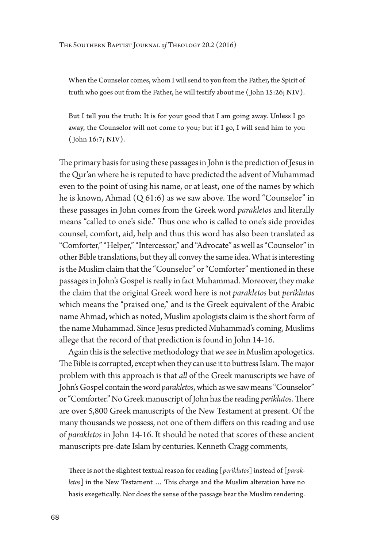When the Counselor comes, whom I will send to you from the Father, the Spirit of truth who goes out from the Father, he will testify about me ( John 15:26; NIV).

But I tell you the truth: It is for your good that I am going away. Unless I go away, the Counselor will not come to you; but if I go, I will send him to you ( John 16:7; NIV).

The primary basis for using these passages in John is the prediction of Jesus in the Qur'an where he is reputed to have predicted the advent of Muhammad even to the point of using his name, or at least, one of the names by which he is known, Ahmad  $(Q 61:6)$  as we saw above. The word "Counselor" in these passages in John comes from the Greek word *parakletos* and literally means "called to one's side." Thus one who is called to one's side provides counsel, comfort, aid, help and thus this word has also been translated as "Comforter," "Helper," "Intercessor," and "Advocate" as well as "Counselor" in other Bible translations, but they all convey the same idea. What is interesting is the Muslim claim that the "Counselor" or "Comforter" mentioned in these passages in John's Gospel is really in fact Muhammad. Moreover, they make the claim that the original Greek word here is not *parakletos* but *periklutos*  which means the "praised one," and is the Greek equivalent of the Arabic name Ahmad, which as noted, Muslim apologists claim is the short form of the name Muhammad. Since Jesus predicted Muhammad's coming, Muslims allege that the record of that prediction is found in John 14-16.

Again this is the selective methodology that we see in Muslim apologetics. The Bible is corrupted, except when they can use it to buttress Islam. The major problem with this approach is that *all* of the Greek manuscripts we have of John's Gospel contain the word *parakletos*, which as we saw means "Counselor" or "Comforter." No Greek manuscript of John has the reading *periklutos*. There are over 5,800 Greek manuscripts of the New Testament at present. Of the many thousands we possess, not one of them difers on this reading and use of *parakletos* in John 14-16. It should be noted that scores of these ancient manuscripts pre-date Islam by centuries. Kenneth Cragg comments,

There is not the slightest textual reason for reading [periklutos] instead of [parakletos] in the New Testament ... This charge and the Muslim alteration have no basis exegetically. Nor does the sense of the passage bear the Muslim rendering.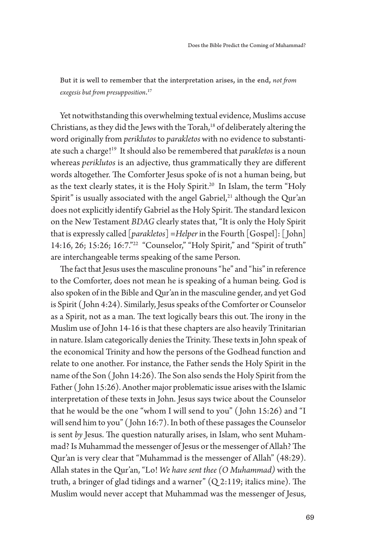But it is well to remember that the interpretation arises, in the end, *not fom exegesis but fom presupposition*. 17

Yet notwithstanding this overwhelming textual evidence, Muslims accuse Christians, as they did the Jews with the Torah,<sup>18</sup> of deliberately altering the word originally from *periklutos* to *parakletos* with no evidence to substantiate such a charge!19 It should also be remembered that *parakletos* is a noun whereas *periklutos* is an adjective, thus grammatically they are diferent words altogether. The Comforter Jesus spoke of is not a human being, but as the text clearly states, it is the Holy Spirit.<sup>20</sup> In Islam, the term "Holy Spirit" is usually associated with the angel Gabriel, $21$  although the Qur'an does not explicitly identify Gabriel as the Holy Spirit. The standard lexicon on the New Testament *BDAG* clearly states that, "It is only the Holy Spirit that is expressly called [*parakletos*] *=Helper* in the Fourth [Gospel]: [ John] 14:16, 26; 15:26; 16:7."<sup>22</sup> "Counselor," "Holy Spirit," and "Spirit of truth" are interchangeable terms speaking of the same Person.

The fact that Jesus uses the masculine pronouns "he" and "his" in reference to the Comforter, does not mean he is speaking of a human being. God is also spoken of in the Bible and Qur'an in the masculine gender, and yet God is Spirit ( John 4:24). Similarly, Jesus speaks of the Comforter or Counselor as a Spirit, not as a man. The text logically bears this out. The irony in the Muslim use of John 14-16 is that these chapters are also heavily Trinitarian in nature. Islam categorically denies the Trinity. These texts in John speak of the economical Trinity and how the persons of the Godhead function and relate to one another. For instance, the Father sends the Holy Spirit in the name of the Son (John 14:26). The Son also sends the Holy Spirit from the Father ( John 15:26). Another major problematic issue arises with the Islamic interpretation of these texts in John. Jesus says twice about the Counselor that he would be the one "whom I will send to you" ( John 15:26) and "I will send him to you" ( John 16:7). In both of these passages the Counselor is sent by Jesus. The question naturally arises, in Islam, who sent Muhammad? Is Muhammad the messenger of Jesus or the messenger of Allah? The Qur'an is very clear that "Muhammad is the messenger of Allah" (48:29). Allah states in the Qur'an, "Lo! *We have sent thee (O Muhammad)* with the truth, a bringer of glad tidings and a warner"  $(Q 2:119)$ ; italics mine). The Muslim would never accept that Muhammad was the messenger of Jesus,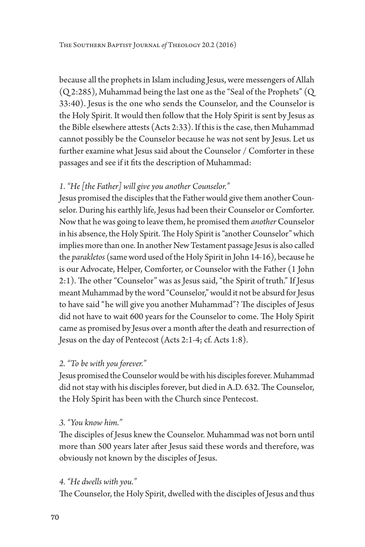because all the prophets in Islam including Jesus, were messengers of Allah (Q 2:285), Muhammad being the last one as the "Seal of the Prophets" (Q 33:40). Jesus is the one who sends the Counselor, and the Counselor is the Holy Spirit. It would then follow that the Holy Spirit is sent by Jesus as the Bible elsewhere attests (Acts 2:33). If this is the case, then Muhammad cannot possibly be the Counselor because he was not sent by Jesus. Let us further examine what Jesus said about the Counselor / Comforter in these passages and see if it fts the description of Muhammad:

# *1. "He [the Father] will give you another Counselor."*

Jesus promised the disciples that the Father would give them another Counselor. During his earthly life, Jesus had been their Counselor or Comforter. Now that he was going to leave them, he promised them *another* Counselor in his absence, the Holy Spirit. The Holy Spirit is "another Counselor" which implies more than one. In another New Testament passage Jesus is also called the *parakletos* (same word used of the Holy Spirit in John 14-16), because he is our Advocate, Helper, Comforter, or Counselor with the Father (1 John 2:1). The other "Counselor" was as Jesus said, "the Spirit of truth." If Jesus meant Muhammad by the word "Counselor," would it not be absurd for Jesus to have said "he will give you another Muhammad"? The disciples of Jesus did not have to wait 600 years for the Counselor to come. The Holy Spirit came as promised by Jesus over a month afer the death and resurrection of Jesus on the day of Pentecost (Acts 2:1-4; cf. Acts 1:8).

# *2. "To be with you forever."*

Jesus promised the Counselor would be with his disciples forever. Muhammad did not stay with his disciples forever, but died in A.D. 632. The Counselor, the Holy Spirit has been with the Church since Pentecost.

# *3. "You know him."*

The disciples of Jesus knew the Counselor. Muhammad was not born until more than 500 years later after Jesus said these words and therefore, was obviously not known by the disciples of Jesus.

# *4. "He dwells with you."*

The Counselor, the Holy Spirit, dwelled with the disciples of Jesus and thus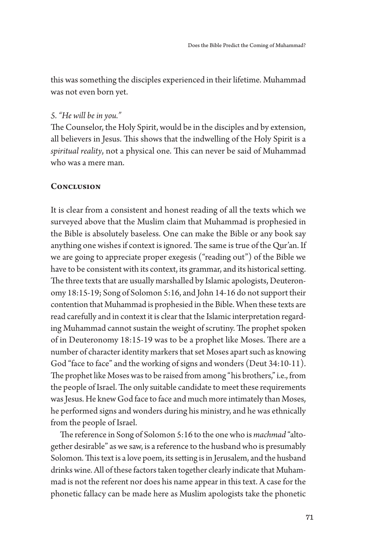this was something the disciples experienced in their lifetime. Muhammad was not even born yet.

### *5. "He will be in you."*

The Counselor, the Holy Spirit, would be in the disciples and by extension, all believers in Jesus. This shows that the indwelling of the Holy Spirit is a *spiritual reality*, not a physical one. This can never be said of Muhammad who was a mere man.

## **Conclusion**

It is clear from a consistent and honest reading of all the texts which we surveyed above that the Muslim claim that Muhammad is prophesied in the Bible is absolutely baseless. One can make the Bible or any book say anything one wishes if context is ignored. The same is true of the Qur'an. If we are going to appreciate proper exegesis ("reading out") of the Bible we have to be consistent with its context, its grammar, and its historical seting. The three texts that are usually marshalled by Islamic apologists, Deuteronomy 18:15-19; Song of Solomon 5:16, and John 14-16 do not support their contention that Muhammad is prophesied in the Bible. When these texts are read carefully and in context it is clear that the Islamic interpretation regarding Muhammad cannot sustain the weight of scrutiny. The prophet spoken of in Deuteronomy 18:15-19 was to be a prophet like Moses. There are a number of character identity markers that set Moses apart such as knowing God "face to face" and the working of signs and wonders (Deut 34:10-11). The prophet like Moses was to be raised from among "his brothers," i.e., from the people of Israel. The only suitable candidate to meet these requirements was Jesus. He knew God face to face and much more intimately than Moses, he performed signs and wonders during his ministry, and he was ethnically from the people of Israel.

The reference in Song of Solomon 5:16 to the one who is *machmad* "altogether desirable" as we saw, is a reference to the husband who is presumably Solomon. This text is a love poem, its setting is in Jerusalem, and the husband drinks wine. All of these factors taken together clearly indicate that Muhammad is not the referent nor does his name appear in this text. A case for the phonetic fallacy can be made here as Muslim apologists take the phonetic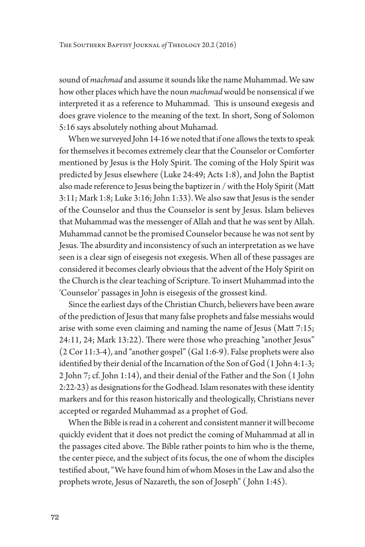sound of *machmad* and assume it sounds like the name Muhammad. We saw how other places which have the noun *machmad* would be nonsensical if we interpreted it as a reference to Muhammad. This is unsound exegesis and does grave violence to the meaning of the text. In short, Song of Solomon 5:16 says absolutely nothing about Muhamad.

When we surveyed John 14-16 we noted that if one allows the texts to speak for themselves it becomes extremely clear that the Counselor or Comforter mentioned by Jesus is the Holy Spirit. The coming of the Holy Spirit was predicted by Jesus elsewhere (Luke 24:49; Acts 1:8), and John the Baptist also made reference to Jesus being the baptizer in / with the Holy Spirit (Mat 3:11; Mark 1:8; Luke 3:16; John 1:33). We also saw that Jesus is the sender of the Counselor and thus the Counselor is sent by Jesus. Islam believes that Muhammad was the messenger of Allah and that he was sent by Allah. Muhammad cannot be the promised Counselor because he was not sent by Jesus. The absurdity and inconsistency of such an interpretation as we have seen is a clear sign of eisegesis not exegesis. When all of these passages are considered it becomes clearly obvious that the advent of the Holy Spirit on the Church is the clear teaching of Scripture. To insert Muhammad into the 'Counselor' passages in John is eisegesis of the grossest kind.

Since the earliest days of the Christian Church, believers have been aware of the prediction of Jesus that many false prophets and false messiahs would arise with some even claiming and naming the name of Jesus (Matt 7:15; 24:11, 24; Mark 13:22). There were those who preaching "another Jesus" (2 Cor 11:3-4), and "another gospel" (Gal 1:6-9). False prophets were also identifed by their denial of the Incarnation of the Son of God (1 John 4:1-3; 2 John 7; cf. John 1:14), and their denial of the Father and the Son (1 John 2:22-23) as designations for the Godhead. Islam resonates with these identity markers and for this reason historically and theologically, Christians never accepted or regarded Muhammad as a prophet of God.

When the Bible is read in a coherent and consistent manner it will become quickly evident that it does not predict the coming of Muhammad at all in the passages cited above. The Bible rather points to him who is the theme, the center piece, and the subject of its focus, the one of whom the disciples testifed about, "We have found him of whom Moses in the Law and also the prophets wrote, Jesus of Nazareth, the son of Joseph" ( John 1:45).